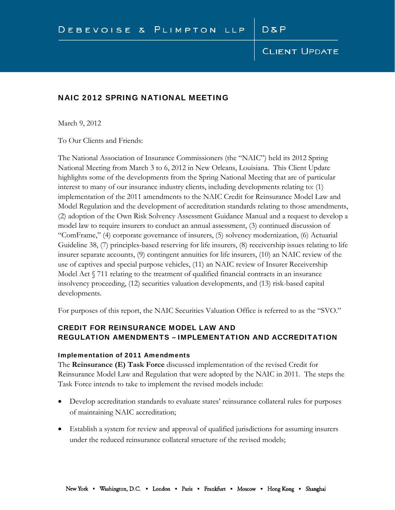### NAIC 2012 SPRING NATIONAL MEETING

March 9, 2012

To Our Clients and Friends:

The National Association of Insurance Commissioners (the "NAIC") held its 2012 Spring National Meeting from March 3 to 6, 2012 in New Orleans, Louisiana. This Client Update highlights some of the developments from the Spring National Meeting that are of particular interest to many of our insurance industry clients, including developments relating to: (1) implementation of the 2011 amendments to the NAIC Credit for Reinsurance Model Law and Model Regulation and the development of accreditation standards relating to those amendments, (2) adoption of the Own Risk Solvency Assessment Guidance Manual and a request to develop a model law to require insurers to conduct an annual assessment, (3) continued discussion of "ComFrame," (4) corporate governance of insurers, (5) solvency modernization, (6) Actuarial Guideline 38, (7) principles-based reserving for life insurers, (8) receivership issues relating to life insurer separate accounts, (9) contingent annuities for life insurers, (10) an NAIC review of the use of captives and special purpose vehicles, (11) an NAIC review of Insurer Receivership Model Act  $\sqrt{5}$  711 relating to the treatment of qualified financial contracts in an insurance insolvency proceeding, (12) securities valuation developments, and (13) risk-based capital developments.

For purposes of this report, the NAIC Securities Valuation Office is referred to as the "SVO."

# CREDIT FOR REINSURANCE MODEL LAW AND REGULATION AMENDMENTS – IMPLEMENTATION AND ACCREDITATION

#### Implementation of 2011 Amendments

The **Reinsurance (E) Task Force** discussed implementation of the revised Credit for Reinsurance Model Law and Regulation that were adopted by the NAIC in 2011. The steps the Task Force intends to take to implement the revised models include:

- Develop accreditation standards to evaluate states' reinsurance collateral rules for purposes of maintaining NAIC accreditation;
- Establish a system for review and approval of qualified jurisdictions for assuming insurers under the reduced reinsurance collateral structure of the revised models;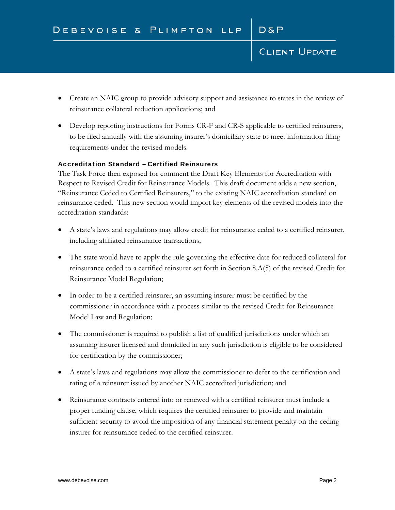- Create an NAIC group to provide advisory support and assistance to states in the review of reinsurance collateral reduction applications; and
- Develop reporting instructions for Forms CR-F and CR-S applicable to certified reinsurers, to be filed annually with the assuming insurer's domiciliary state to meet information filing requirements under the revised models.

#### Accreditation Standard – Certified Reinsurers

The Task Force then exposed for comment the Draft Key Elements for Accreditation with Respect to Revised Credit for Reinsurance Models. This draft document adds a new section, "Reinsurance Ceded to Certified Reinsurers," to the existing NAIC accreditation standard on reinsurance ceded. This new section would import key elements of the revised models into the accreditation standards:

- A state's laws and regulations may allow credit for reinsurance ceded to a certified reinsurer, including affiliated reinsurance transactions;
- The state would have to apply the rule governing the effective date for reduced collateral for reinsurance ceded to a certified reinsurer set forth in Section 8.A(5) of the revised Credit for Reinsurance Model Regulation;
- In order to be a certified reinsurer, an assuming insurer must be certified by the commissioner in accordance with a process similar to the revised Credit for Reinsurance Model Law and Regulation;
- The commissioner is required to publish a list of qualified jurisdictions under which an assuming insurer licensed and domiciled in any such jurisdiction is eligible to be considered for certification by the commissioner;
- A state's laws and regulations may allow the commissioner to defer to the certification and rating of a reinsurer issued by another NAIC accredited jurisdiction; and
- Reinsurance contracts entered into or renewed with a certified reinsurer must include a proper funding clause, which requires the certified reinsurer to provide and maintain sufficient security to avoid the imposition of any financial statement penalty on the ceding insurer for reinsurance ceded to the certified reinsurer.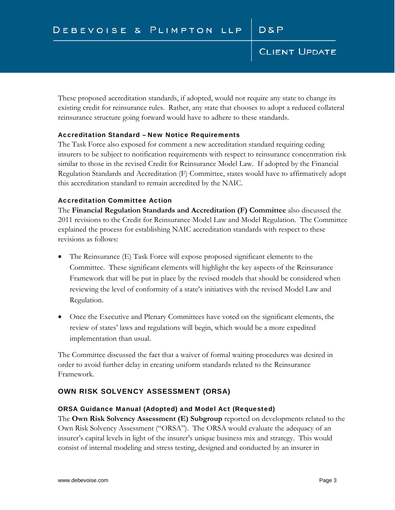These proposed accreditation standards, if adopted, would not require any state to change its existing credit for reinsurance rules. Rather, any state that chooses to adopt a reduced collateral reinsurance structure going forward would have to adhere to these standards.

#### Accreditation Standard – New Notice Requirements

The Task Force also exposed for comment a new accreditation standard requiring ceding insurers to be subject to notification requirements with respect to reinsurance concentration risk similar to those in the revised Credit for Reinsurance Model Law. If adopted by the Financial Regulation Standards and Accreditation (F) Committee, states would have to affirmatively adopt this accreditation standard to remain accredited by the NAIC.

#### Accreditation Committee Action

The **Financial Regulation Standards and Accreditation (F) Committee** also discussed the 2011 revisions to the Credit for Reinsurance Model Law and Model Regulation. The Committee explained the process for establishing NAIC accreditation standards with respect to these revisions as follows:

- The Reinsurance (E) Task Force will expose proposed significant elements to the Committee. These significant elements will highlight the key aspects of the Reinsurance Framework that will be put in place by the revised models that should be considered when reviewing the level of conformity of a state's initiatives with the revised Model Law and Regulation.
- Once the Executive and Plenary Committees have voted on the significant elements, the review of states' laws and regulations will begin, which would be a more expedited implementation than usual.

The Committee discussed the fact that a waiver of formal waiting procedures was desired in order to avoid further delay in creating uniform standards related to the Reinsurance Framework.

#### OWN RISK SOLVENCY ASSESSMENT (ORSA)

#### ORSA Guidance Manual (Adopted) and Model Act (Requested)

The **Own Risk Solvency Assessment (E) Subgroup** reported on developments related to the Own Risk Solvency Assessment ("ORSA"). The ORSA would evaluate the adequacy of an insurer's capital levels in light of the insurer's unique business mix and strategy. This would consist of internal modeling and stress testing, designed and conducted by an insurer in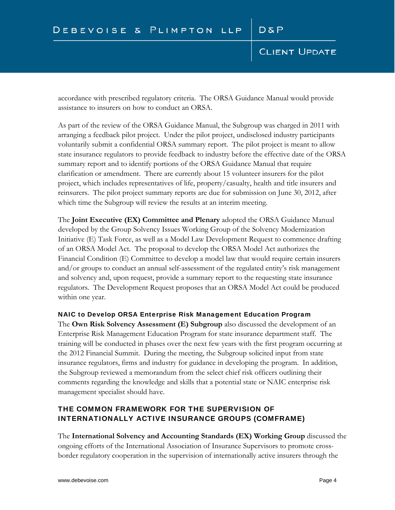accordance with prescribed regulatory criteria. The ORSA Guidance Manual would provide assistance to insurers on how to conduct an ORSA.

As part of the review of the ORSA Guidance Manual, the Subgroup was charged in 2011 with arranging a feedback pilot project. Under the pilot project, undisclosed industry participants voluntarily submit a confidential ORSA summary report. The pilot project is meant to allow state insurance regulators to provide feedback to industry before the effective date of the ORSA summary report and to identify portions of the ORSA Guidance Manual that require clarification or amendment. There are currently about 15 volunteer insurers for the pilot project, which includes representatives of life, property/casualty, health and title insurers and reinsurers. The pilot project summary reports are due for submission on June 30, 2012, after which time the Subgroup will review the results at an interim meeting.

The **Joint Executive (EX) Committee and Plenary** adopted the ORSA Guidance Manual developed by the Group Solvency Issues Working Group of the Solvency Modernization Initiative (E) Task Force, as well as a Model Law Development Request to commence drafting of an ORSA Model Act. The proposal to develop the ORSA Model Act authorizes the Financial Condition (E) Committee to develop a model law that would require certain insurers and/or groups to conduct an annual self-assessment of the regulated entity's risk management and solvency and, upon request, provide a summary report to the requesting state insurance regulators. The Development Request proposes that an ORSA Model Act could be produced within one year.

#### NAIC to Develop ORSA Enterprise Risk Management Education Program

The **Own Risk Solvency Assessment (E) Subgroup** also discussed the development of an Enterprise Risk Management Education Program for state insurance department staff. The training will be conducted in phases over the next few years with the first program occurring at the 2012 Financial Summit. During the meeting, the Subgroup solicited input from state insurance regulators, firms and industry for guidance in developing the program. In addition, the Subgroup reviewed a memorandum from the select chief risk officers outlining their comments regarding the knowledge and skills that a potential state or NAIC enterprise risk management specialist should have.

# THE COMMON FRAMEWORK FOR THE SUPERVISION OF INTERNATIONALLY ACTIVE INSURANCE GROUPS (COMFRAME)

The **International Solvency and Accounting Standards (EX) Working Group** discussed the ongoing efforts of the International Association of Insurance Supervisors to promote crossborder regulatory cooperation in the supervision of internationally active insurers through the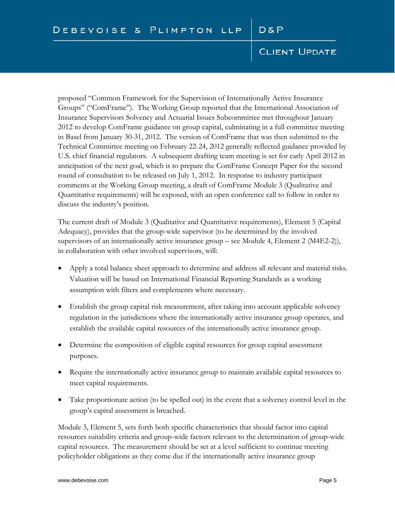proposed "Common Framework for the Supervision of Internationally Active Insurance Groups" ("ComFrame"). The Working Group reported that the International Association of Insurance Supervisors Solvency and Actuarial Issues Subcommittee met throughout January 2012 to develop ComFrame guidance on group capital, culminating in a full committee meeting in Basel from January 30-31, 2012. The version of ComFrame that was then submitted to the Technical Committee meeting on February 22-24, 2012 generally reflected guidance provided by U.S. chief financial regulators. A subsequent drafting team meeting is set for early April 2012 in anticipation of the next goal, which is to prepare the ComFrame Concept Paper for the second round of consultation to be released on July 1, 2012. In response to industry participant comments at the Working Group meeting, a draft of ComFrame Module 3 (Qualitative and Quantitative requirements) will be exposed, with an open conference call to follow in order to discuss the industry's position.

The current draft of Module 3 (Qualitative and Quantitative requirements), Element 5 (Capital Adequacy), provides that the group-wide supervisor (to be determined by the involved supervisors of an internationally active insurance group – see Module 4, Element 2 (M4E2-2)), in collaboration with other involved supervisors, will:

- Apply a total balance sheet approach to determine and address all relevant and material risks. Valuation will be based on International Financial Reporting Standards as a working assumption with filters and complements where necessary.
- Establish the group capital risk measurement, after taking into account applicable solvency regulation in the jurisdictions where the internationally active insurance group operates, and establish the available capital resources of the internationally active insurance group.
- Determine the composition of eligible capital resources for group capital assessment purposes.
- Require the internationally active insurance group to maintain available capital resources to meet capital requirements.
- Take proportionate action (to be spelled out) in the event that a solvency control level in the group's capital assessment is breached.

Module 3, Element 5, sets forth both specific characteristics that should factor into capital resources suitability criteria and group-wide factors relevant to the determination of group-wide capital resources. The measurement should be set at a level sufficient to continue meeting policyholder obligations as they come due if the internationally active insurance group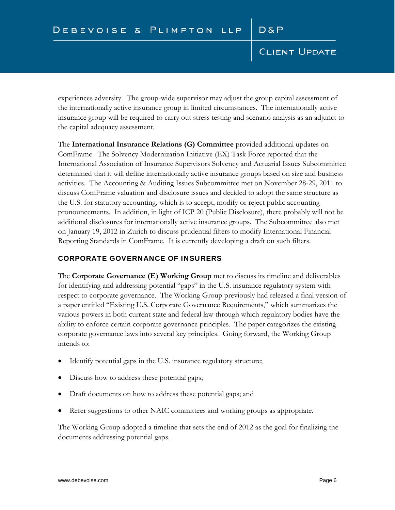experiences adversity. The group-wide supervisor may adjust the group capital assessment of the internationally active insurance group in limited circumstances. The internationally active insurance group will be required to carry out stress testing and scenario analysis as an adjunct to the capital adequacy assessment.

The **International Insurance Relations (G) Committee** provided additional updates on ComFrame. The Solvency Modernization Initiative (EX) Task Force reported that the International Association of Insurance Supervisors Solvency and Actuarial Issues Subcommittee determined that it will define internationally active insurance groups based on size and business activities. The Accounting & Auditing Issues Subcommittee met on November 28-29, 2011 to discuss ComFrame valuation and disclosure issues and decided to adopt the same structure as the U.S. for statutory accounting, which is to accept, modify or reject public accounting pronouncements. In addition, in light of ICP 20 (Public Disclosure), there probably will not be additional disclosures for internationally active insurance groups. The Subcommittee also met on January 19, 2012 in Zurich to discuss prudential filters to modify International Financial Reporting Standards in ComFrame. It is currently developing a draft on such filters.

### CORPORATE GOVERNANCE OF INSURERS

The **Corporate Governance (E) Working Group** met to discuss its timeline and deliverables for identifying and addressing potential "gaps" in the U.S. insurance regulatory system with respect to corporate governance. The Working Group previously had released a final version of a paper entitled "Existing U.S. Corporate Governance Requirements," which summarizes the various powers in both current state and federal law through which regulatory bodies have the ability to enforce certain corporate governance principles. The paper categorizes the existing corporate governance laws into several key principles. Going forward, the Working Group intends to:

- Identify potential gaps in the U.S. insurance regulatory structure;
- Discuss how to address these potential gaps;
- Draft documents on how to address these potential gaps; and
- Refer suggestions to other NAIC committees and working groups as appropriate.

The Working Group adopted a timeline that sets the end of 2012 as the goal for finalizing the documents addressing potential gaps.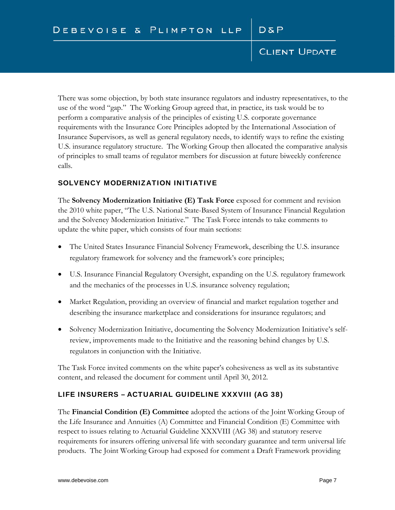There was some objection, by both state insurance regulators and industry representatives, to the use of the word "gap." The Working Group agreed that, in practice, its task would be to perform a comparative analysis of the principles of existing U.S. corporate governance requirements with the Insurance Core Principles adopted by the International Association of Insurance Supervisors, as well as general regulatory needs, to identify ways to refine the existing U.S. insurance regulatory structure. The Working Group then allocated the comparative analysis of principles to small teams of regulator members for discussion at future biweekly conference calls.

### SOLVENCY MODERNIZATION INITIATIVE

The **Solvency Modernization Initiative (E) Task Force** exposed for comment and revision the 2010 white paper, "The U.S. National State-Based System of Insurance Financial Regulation and the Solvency Modernization Initiative." The Task Force intends to take comments to update the white paper, which consists of four main sections:

- The United States Insurance Financial Solvency Framework, describing the U.S. insurance regulatory framework for solvency and the framework's core principles;
- U.S. Insurance Financial Regulatory Oversight, expanding on the U.S. regulatory framework and the mechanics of the processes in U.S. insurance solvency regulation;
- Market Regulation, providing an overview of financial and market regulation together and describing the insurance marketplace and considerations for insurance regulators; and
- Solvency Modernization Initiative, documenting the Solvency Modernization Initiative's selfreview, improvements made to the Initiative and the reasoning behind changes by U.S. regulators in conjunction with the Initiative.

The Task Force invited comments on the white paper's cohesiveness as well as its substantive content, and released the document for comment until April 30, 2012.

# LIFE INSURERS – ACTUARIAL GUIDELINE XXXVIII (AG 38)

The **Financial Condition (E) Committee** adopted the actions of the Joint Working Group of the Life Insurance and Annuities (A) Committee and Financial Condition (E) Committee with respect to issues relating to Actuarial Guideline XXXVIII (AG 38) and statutory reserve requirements for insurers offering universal life with secondary guarantee and term universal life products. The Joint Working Group had exposed for comment a Draft Framework providing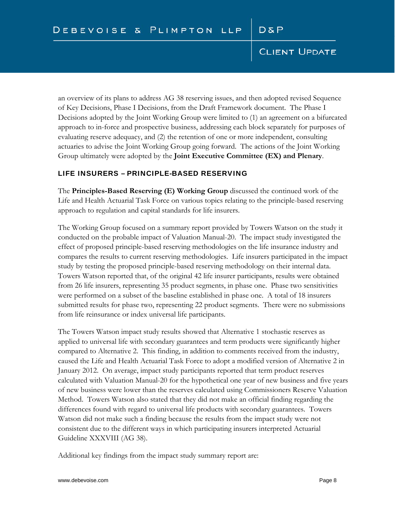an overview of its plans to address AG 38 reserving issues, and then adopted revised Sequence of Key Decisions, Phase I Decisions, from the Draft Framework document. The Phase I Decisions adopted by the Joint Working Group were limited to (1) an agreement on a bifurcated approach to in-force and prospective business, addressing each block separately for purposes of evaluating reserve adequacy, and (2) the retention of one or more independent, consulting actuaries to advise the Joint Working Group going forward. The actions of the Joint Working Group ultimately were adopted by the **Joint Executive Committee (EX) and Plenary**.

#### LIFE INSURERS – PRINCIPLE-BASED RESERVING

The **Principles-Based Reserving (E) Working Group** discussed the continued work of the Life and Health Actuarial Task Force on various topics relating to the principle-based reserving approach to regulation and capital standards for life insurers.

The Working Group focused on a summary report provided by Towers Watson on the study it conducted on the probable impact of Valuation Manual-20. The impact study investigated the effect of proposed principle-based reserving methodologies on the life insurance industry and compares the results to current reserving methodologies. Life insurers participated in the impact study by testing the proposed principle-based reserving methodology on their internal data. Towers Watson reported that, of the original 42 life insurer participants, results were obtained from 26 life insurers, representing 35 product segments, in phase one. Phase two sensitivities were performed on a subset of the baseline established in phase one. A total of 18 insurers submitted results for phase two, representing 22 product segments. There were no submissions from life reinsurance or index universal life participants.

The Towers Watson impact study results showed that Alternative 1 stochastic reserves as applied to universal life with secondary guarantees and term products were significantly higher compared to Alternative 2. This finding, in addition to comments received from the industry, caused the Life and Health Actuarial Task Force to adopt a modified version of Alternative 2 in January 2012. On average, impact study participants reported that term product reserves calculated with Valuation Manual-20 for the hypothetical one year of new business and five years of new business were lower than the reserves calculated using Commissioners Reserve Valuation Method. Towers Watson also stated that they did not make an official finding regarding the differences found with regard to universal life products with secondary guarantees. Towers Watson did not make such a finding because the results from the impact study were not consistent due to the different ways in which participating insurers interpreted Actuarial Guideline XXXVIII (AG 38).

Additional key findings from the impact study summary report are: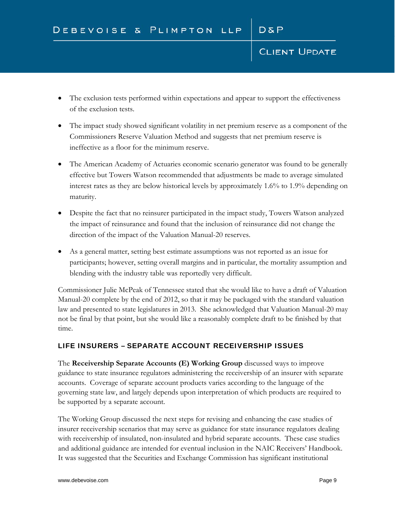- The exclusion tests performed within expectations and appear to support the effectiveness of the exclusion tests.
- The impact study showed significant volatility in net premium reserve as a component of the Commissioners Reserve Valuation Method and suggests that net premium reserve is ineffective as a floor for the minimum reserve.
- The American Academy of Actuaries economic scenario generator was found to be generally effective but Towers Watson recommended that adjustments be made to average simulated interest rates as they are below historical levels by approximately 1.6% to 1.9% depending on maturity.
- Despite the fact that no reinsurer participated in the impact study, Towers Watson analyzed the impact of reinsurance and found that the inclusion of reinsurance did not change the direction of the impact of the Valuation Manual-20 reserves.
- As a general matter, setting best estimate assumptions was not reported as an issue for participants; however, setting overall margins and in particular, the mortality assumption and blending with the industry table was reportedly very difficult.

Commissioner Julie McPeak of Tennessee stated that she would like to have a draft of Valuation Manual-20 complete by the end of 2012, so that it may be packaged with the standard valuation law and presented to state legislatures in 2013. She acknowledged that Valuation Manual-20 may not be final by that point, but she would like a reasonably complete draft to be finished by that time.

# LIFE INSURERS – SEPARATE ACCOUNT RECEIVERSHIP ISSUES

The **Receivership Separate Accounts (E) Working Group** discussed ways to improve guidance to state insurance regulators administering the receivership of an insurer with separate accounts. Coverage of separate account products varies according to the language of the governing state law, and largely depends upon interpretation of which products are required to be supported by a separate account.

The Working Group discussed the next steps for revising and enhancing the case studies of insurer receivership scenarios that may serve as guidance for state insurance regulators dealing with receivership of insulated, non-insulated and hybrid separate accounts. These case studies and additional guidance are intended for eventual inclusion in the NAIC Receivers' Handbook. It was suggested that the Securities and Exchange Commission has significant institutional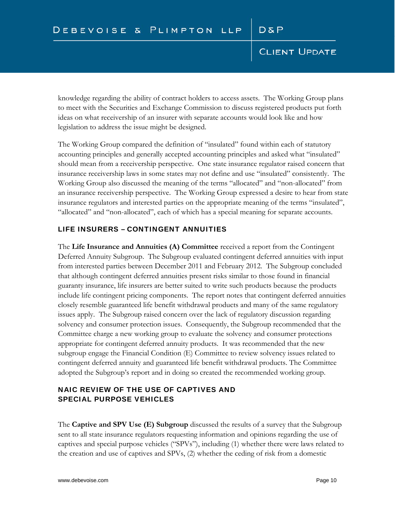knowledge regarding the ability of contract holders to access assets. The Working Group plans to meet with the Securities and Exchange Commission to discuss registered products put forth ideas on what receivership of an insurer with separate accounts would look like and how legislation to address the issue might be designed.

The Working Group compared the definition of "insulated" found within each of statutory accounting principles and generally accepted accounting principles and asked what "insulated" should mean from a receivership perspective. One state insurance regulator raised concern that insurance receivership laws in some states may not define and use "insulated" consistently. The Working Group also discussed the meaning of the terms "allocated" and "non-allocated" from an insurance receivership perspective. The Working Group expressed a desire to hear from state insurance regulators and interested parties on the appropriate meaning of the terms "insulated", "allocated" and "non-allocated", each of which has a special meaning for separate accounts.

#### LIFE INSURERS – CONTINGENT ANNUITIES

The **Life Insurance and Annuities (A) Committee** received a report from the Contingent Deferred Annuity Subgroup. The Subgroup evaluated contingent deferred annuities with input from interested parties between December 2011 and February 2012. The Subgroup concluded that although contingent deferred annuities present risks similar to those found in financial guaranty insurance, life insurers are better suited to write such products because the products include life contingent pricing components. The report notes that contingent deferred annuities closely resemble guaranteed life benefit withdrawal products and many of the same regulatory issues apply. The Subgroup raised concern over the lack of regulatory discussion regarding solvency and consumer protection issues. Consequently, the Subgroup recommended that the Committee charge a new working group to evaluate the solvency and consumer protections appropriate for contingent deferred annuity products. It was recommended that the new subgroup engage the Financial Condition (E) Committee to review solvency issues related to contingent deferred annuity and guaranteed life benefit withdrawal products. The Committee adopted the Subgroup's report and in doing so created the recommended working group.

# NAIC REVIEW OF THE USE OF CAPTIVES AND SPECIAL PURPOSE VEHICLES

The **Captive and SPV Use (E) Subgroup** discussed the results of a survey that the Subgroup sent to all state insurance regulators requesting information and opinions regarding the use of captives and special purpose vehicles ("SPVs"), including (1) whether there were laws related to the creation and use of captives and SPVs, (2) whether the ceding of risk from a domestic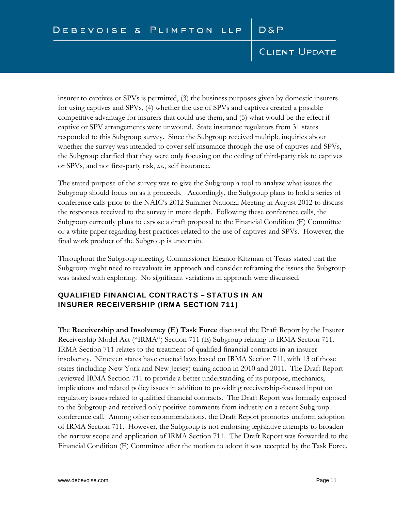insurer to captives or SPVs is permitted, (3) the business purposes given by domestic insurers for using captives and SPVs, (4) whether the use of SPVs and captives created a possible competitive advantage for insurers that could use them, and (5) what would be the effect if captive or SPV arrangements were unwound. State insurance regulators from 31 states responded to this Subgroup survey. Since the Subgroup received multiple inquiries about whether the survey was intended to cover self insurance through the use of captives and SPVs, the Subgroup clarified that they were only focusing on the ceding of third-party risk to captives or SPVs, and not first-party risk, *i.e.*, self insurance.

The stated purpose of the survey was to give the Subgroup a tool to analyze what issues the Subgroup should focus on as it proceeds. Accordingly, the Subgroup plans to hold a series of conference calls prior to the NAIC's 2012 Summer National Meeting in August 2012 to discuss the responses received to the survey in more depth. Following these conference calls, the Subgroup currently plans to expose a draft proposal to the Financial Condition (E) Committee or a white paper regarding best practices related to the use of captives and SPVs. However, the final work product of the Subgroup is uncertain.

Throughout the Subgroup meeting, Commissioner Eleanor Kitzman of Texas stated that the Subgroup might need to reevaluate its approach and consider reframing the issues the Subgroup was tasked with exploring. No significant variations in approach were discussed.

# QUALIFIED FINANCIAL CONTRACTS – STATUS IN AN INSURER RECEIVERSHIP (IRMA SECTION 711)

The **Receivership and Insolvency (E) Task Force** discussed the Draft Report by the Insurer Receivership Model Act ("IRMA") Section 711 (E) Subgroup relating to IRMA Section 711. IRMA Section 711 relates to the treatment of qualified financial contracts in an insurer insolvency. Nineteen states have enacted laws based on IRMA Section 711, with 13 of those states (including New York and New Jersey) taking action in 2010 and 2011. The Draft Report reviewed IRMA Section 711 to provide a better understanding of its purpose, mechanics, implications and related policy issues in addition to providing receivership-focused input on regulatory issues related to qualified financial contracts. The Draft Report was formally exposed to the Subgroup and received only positive comments from industry on a recent Subgroup conference call. Among other recommendations, the Draft Report promotes uniform adoption of IRMA Section 711. However, the Subgroup is not endorsing legislative attempts to broaden the narrow scope and application of IRMA Section 711. The Draft Report was forwarded to the Financial Condition (E) Committee after the motion to adopt it was accepted by the Task Force.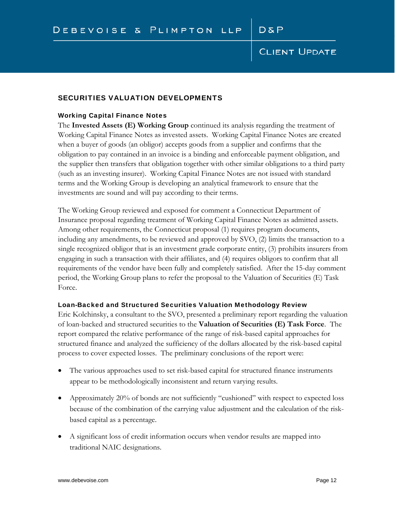#### SECURITIES VALUATION DEVELOPMENTS

#### Working Capital Finance Notes

The **Invested Assets (E) Working Group** continued its analysis regarding the treatment of Working Capital Finance Notes as invested assets. Working Capital Finance Notes are created when a buyer of goods (an obligor) accepts goods from a supplier and confirms that the obligation to pay contained in an invoice is a binding and enforceable payment obligation, and the supplier then transfers that obligation together with other similar obligations to a third party (such as an investing insurer). Working Capital Finance Notes are not issued with standard terms and the Working Group is developing an analytical framework to ensure that the investments are sound and will pay according to their terms.

The Working Group reviewed and exposed for comment a Connecticut Department of Insurance proposal regarding treatment of Working Capital Finance Notes as admitted assets. Among other requirements, the Connecticut proposal (1) requires program documents, including any amendments, to be reviewed and approved by SVO, (2) limits the transaction to a single recognized obligor that is an investment grade corporate entity, (3) prohibits insurers from engaging in such a transaction with their affiliates, and (4) requires obligors to confirm that all requirements of the vendor have been fully and completely satisfied. After the 15-day comment period, the Working Group plans to refer the proposal to the Valuation of Securities (E) Task Force.

#### Loan-Backed and Structured Securities Valuation Methodology Review

Eric Kolchinsky, a consultant to the SVO, presented a preliminary report regarding the valuation of loan-backed and structured securities to the **Valuation of Securities (E) Task Force**. The report compared the relative performance of the range of risk-based capital approaches for structured finance and analyzed the sufficiency of the dollars allocated by the risk-based capital process to cover expected losses. The preliminary conclusions of the report were:

- The various approaches used to set risk-based capital for structured finance instruments appear to be methodologically inconsistent and return varying results.
- Approximately 20% of bonds are not sufficiently "cushioned" with respect to expected loss because of the combination of the carrying value adjustment and the calculation of the riskbased capital as a percentage.
- A significant loss of credit information occurs when vendor results are mapped into traditional NAIC designations.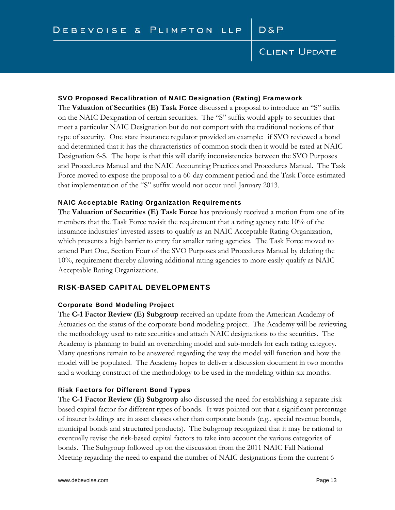#### SVO Proposed Recalibration of NAIC Designation (Rating) Framework

The **Valuation of Securities (E) Task Force** discussed a proposal to introduce an "S" suffix on the NAIC Designation of certain securities. The "S" suffix would apply to securities that meet a particular NAIC Designation but do not comport with the traditional notions of that type of security. One state insurance regulator provided an example: if SVO reviewed a bond and determined that it has the characteristics of common stock then it would be rated at NAIC Designation 6-S. The hope is that this will clarify inconsistencies between the SVO Purposes and Procedures Manual and the NAIC Accounting Practices and Procedures Manual. The Task Force moved to expose the proposal to a 60-day comment period and the Task Force estimated that implementation of the "S" suffix would not occur until January 2013.

#### NAIC Acceptable Rating Organization Requirements

The **Valuation of Securities (E) Task Force** has previously received a motion from one of its members that the Task Force revisit the requirement that a rating agency rate 10% of the insurance industries' invested assets to qualify as an NAIC Acceptable Rating Organization, which presents a high barrier to entry for smaller rating agencies. The Task Force moved to amend Part One, Section Four of the SVO Purposes and Procedures Manual by deleting the 10%, requirement thereby allowing additional rating agencies to more easily qualify as NAIC Acceptable Rating Organizations.

#### RISK-BASED CAPITAL DEVELOPMENTS

#### Corporate Bond Modeling Project

The **C-1 Factor Review (E) Subgroup** received an update from the American Academy of Actuaries on the status of the corporate bond modeling project. The Academy will be reviewing the methodology used to rate securities and attach NAIC designations to the securities. The Academy is planning to build an overarching model and sub-models for each rating category. Many questions remain to be answered regarding the way the model will function and how the model will be populated. The Academy hopes to deliver a discussion document in two months and a working construct of the methodology to be used in the modeling within six months.

#### Risk Factors for Different Bond Types

The **C-1 Factor Review (E) Subgroup** also discussed the need for establishing a separate riskbased capital factor for different types of bonds. It was pointed out that a significant percentage of insurer holdings are in asset classes other than corporate bonds (e.g., special revenue bonds, municipal bonds and structured products). The Subgroup recognized that it may be rational to eventually revise the risk-based capital factors to take into account the various categories of bonds. The Subgroup followed up on the discussion from the 2011 NAIC Fall National Meeting regarding the need to expand the number of NAIC designations from the current 6